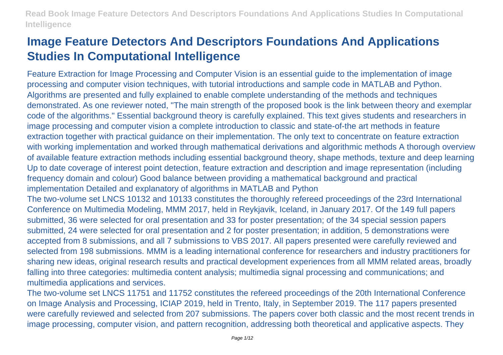# **Image Feature Detectors And Descriptors Foundations And Applications Studies In Computational Intelligence**

Feature Extraction for Image Processing and Computer Vision is an essential guide to the implementation of image processing and computer vision techniques, with tutorial introductions and sample code in MATLAB and Python. Algorithms are presented and fully explained to enable complete understanding of the methods and techniques demonstrated. As one reviewer noted, "The main strength of the proposed book is the link between theory and exemplar code of the algorithms." Essential background theory is carefully explained. This text gives students and researchers in image processing and computer vision a complete introduction to classic and state-of-the art methods in feature extraction together with practical guidance on their implementation. The only text to concentrate on feature extraction with working implementation and worked through mathematical derivations and algorithmic methods A thorough overview of available feature extraction methods including essential background theory, shape methods, texture and deep learning Up to date coverage of interest point detection, feature extraction and description and image representation (including frequency domain and colour) Good balance between providing a mathematical background and practical implementation Detailed and explanatory of algorithms in MATLAB and Python

The two-volume set LNCS 10132 and 10133 constitutes the thoroughly refereed proceedings of the 23rd International Conference on Multimedia Modeling, MMM 2017, held in Reykjavik, Iceland, in January 2017. Of the 149 full papers submitted, 36 were selected for oral presentation and 33 for poster presentation; of the 34 special session papers submitted, 24 were selected for oral presentation and 2 for poster presentation; in addition, 5 demonstrations were accepted from 8 submissions, and all 7 submissions to VBS 2017. All papers presented were carefully reviewed and selected from 198 submissions. MMM is a leading international conference for researchers and industry practitioners for sharing new ideas, original research results and practical development experiences from all MMM related areas, broadly falling into three categories: multimedia content analysis; multimedia signal processing and communications; and multimedia applications and services.

The two-volume set LNCS 11751 and 11752 constitutes the refereed proceedings of the 20th International Conference on Image Analysis and Processing, ICIAP 2019, held in Trento, Italy, in September 2019. The 117 papers presented were carefully reviewed and selected from 207 submissions. The papers cover both classic and the most recent trends in image processing, computer vision, and pattern recognition, addressing both theoretical and applicative aspects. They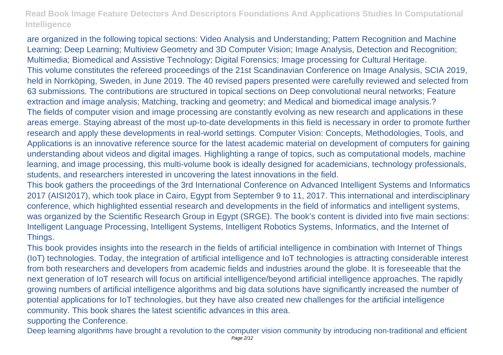are organized in the following topical sections: Video Analysis and Understanding; Pattern Recognition and Machine Learning; Deep Learning; Multiview Geometry and 3D Computer Vision; Image Analysis, Detection and Recognition; Multimedia; Biomedical and Assistive Technology; Digital Forensics; Image processing for Cultural Heritage. This volume constitutes the refereed proceedings of the 21st Scandinavian Conference on Image Analysis, SCIA 2019, held in Norrköping, Sweden, in June 2019. The 40 revised papers presented were carefully reviewed and selected from 63 submissions. The contributions are structured in topical sections on Deep convolutional neural networks; Feature extraction and image analysis; Matching, tracking and geometry; and Medical and biomedical image analysis.? The fields of computer vision and image processing are constantly evolving as new research and applications in these areas emerge. Staying abreast of the most up-to-date developments in this field is necessary in order to promote further research and apply these developments in real-world settings. Computer Vision: Concepts, Methodologies, Tools, and Applications is an innovative reference source for the latest academic material on development of computers for gaining understanding about videos and digital images. Highlighting a range of topics, such as computational models, machine learning, and image processing, this multi-volume book is ideally designed for academicians, technology professionals, students, and researchers interested in uncovering the latest innovations in the field.

This book gathers the proceedings of the 3rd International Conference on Advanced Intelligent Systems and Informatics 2017 (AISI2017), which took place in Cairo, Egypt from September 9 to 11, 2017. This international and interdisciplinary conference, which highlighted essential research and developments in the field of informatics and intelligent systems, was organized by the Scientific Research Group in Egypt (SRGE). The book's content is divided into five main sections: Intelligent Language Processing, Intelligent Systems, Intelligent Robotics Systems, Informatics, and the Internet of Things.

This book provides insights into the research in the fields of artificial intelligence in combination with Internet of Things (IoT) technologies. Today, the integration of artificial intelligence and IoT technologies is attracting considerable interest from both researchers and developers from academic fields and industries around the globe. It is foreseeable that the next generation of IoT research will focus on artificial intelligence/beyond artificial intelligence approaches. The rapidly growing numbers of artificial intelligence algorithms and big data solutions have significantly increased the number of potential applications for IoT technologies, but they have also created new challenges for the artificial intelligence community. This book shares the latest scientific advances in this area. supporting the Conference.

Deep learning algorithms have brought a revolution to the computer vision community by introducing non-traditional and efficient Page 2/12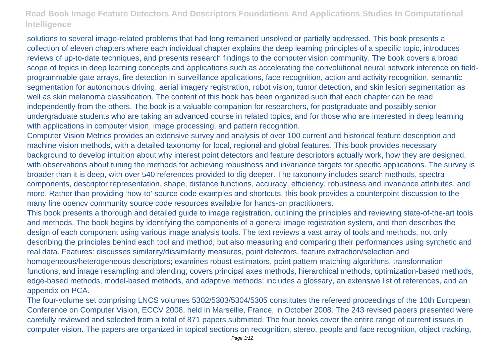solutions to several image-related problems that had long remained unsolved or partially addressed. This book presents a collection of eleven chapters where each individual chapter explains the deep learning principles of a specific topic, introduces reviews of up-to-date techniques, and presents research findings to the computer vision community. The book covers a broad scope of topics in deep learning concepts and applications such as accelerating the convolutional neural network inference on fieldprogrammable gate arrays, fire detection in surveillance applications, face recognition, action and activity recognition, semantic segmentation for autonomous driving, aerial imagery registration, robot vision, tumor detection, and skin lesion segmentation as well as skin melanoma classification. The content of this book has been organized such that each chapter can be read independently from the others. The book is a valuable companion for researchers, for postgraduate and possibly senior undergraduate students who are taking an advanced course in related topics, and for those who are interested in deep learning with applications in computer vision, image processing, and pattern recognition.

Computer Vision Metrics provides an extensive survey and analysis of over 100 current and historical feature description and machine vision methods, with a detailed taxonomy for local, regional and global features. This book provides necessary background to develop intuition about why interest point detectors and feature descriptors actually work, how they are designed, with observations about tuning the methods for achieving robustness and invariance targets for specific applications. The survey is broader than it is deep, with over 540 references provided to dig deeper. The taxonomy includes search methods, spectra components, descriptor representation, shape, distance functions, accuracy, efficiency, robustness and invariance attributes, and more. Rather than providing 'how-to' source code examples and shortcuts, this book provides a counterpoint discussion to the many fine opencv community source code resources available for hands-on practitioners.

This book presents a thorough and detailed guide to image registration, outlining the principles and reviewing state-of-the-art tools and methods. The book begins by identifying the components of a general image registration system, and then describes the design of each component using various image analysis tools. The text reviews a vast array of tools and methods, not only describing the principles behind each tool and method, but also measuring and comparing their performances using synthetic and real data. Features: discusses similarity/dissimilarity measures, point detectors, feature extraction/selection and homogeneous/heterogeneous descriptors; examines robust estimators, point pattern matching algorithms, transformation functions, and image resampling and blending; covers principal axes methods, hierarchical methods, optimization-based methods, edge-based methods, model-based methods, and adaptive methods; includes a glossary, an extensive list of references, and an appendix on PCA.

The four-volume set comprising LNCS volumes 5302/5303/5304/5305 constitutes the refereed proceedings of the 10th European Conference on Computer Vision, ECCV 2008, held in Marseille, France, in October 2008. The 243 revised papers presented were carefully reviewed and selected from a total of 871 papers submitted. The four books cover the entire range of current issues in computer vision. The papers are organized in topical sections on recognition, stereo, people and face recognition, object tracking,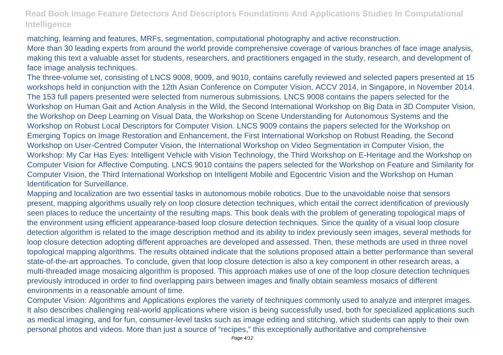matching, learning and features, MRFs, segmentation, computational photography and active reconstruction. More than 30 leading experts from around the world provide comprehensive coverage of various branches of face image analysis, making this text a valuable asset for students, researchers, and practitioners engaged in the study, research, and development of face image analysis techniques.

The three-volume set, consisting of LNCS 9008, 9009, and 9010, contains carefully reviewed and selected papers presented at 15 workshops held in conjunction with the 12th Asian Conference on Computer Vision, ACCV 2014, in Singapore, in November 2014. The 153 full papers presented were selected from numerous submissions. LNCS 9008 contains the papers selected for the Workshop on Human Gait and Action Analysis in the Wild, the Second International Workshop on Big Data in 3D Computer Vision, the Workshop on Deep Learning on Visual Data, the Workshop on Scene Understanding for Autonomous Systems and the Workshop on Robust Local Descriptors for Computer Vision. LNCS 9009 contains the papers selected for the Workshop on Emerging Topics on Image Restoration and Enhancement, the First International Workshop on Robust Reading, the Second Workshop on User-Centred Computer Vision, the International Workshop on Video Segmentation in Computer Vision, the Workshop: My Car Has Eyes: Intelligent Vehicle with Vision Technology, the Third Workshop on E-Heritage and the Workshop on Computer Vision for Affective Computing. LNCS 9010 contains the papers selected for the Workshop on Feature and Similarity for Computer Vision, the Third International Workshop on Intelligent Mobile and Egocentric Vision and the Workshop on Human Identification for Surveillance.

Mapping and localization are two essential tasks in autonomous mobile robotics. Due to the unavoidable noise that sensors present, mapping algorithms usually rely on loop closure detection techniques, which entail the correct identification of previously seen places to reduce the uncertainty of the resulting maps. This book deals with the problem of generating topological maps of the environment using efficient appearance-based loop closure detection techniques. Since the quality of a visual loop closure detection algorithm is related to the image description method and its ability to index previously seen images, several methods for loop closure detection adopting different approaches are developed and assessed. Then, these methods are used in three novel topological mapping algorithms. The results obtained indicate that the solutions proposed attain a better performance than several state-of-the-art approaches. To conclude, given that loop closure detection is also a key component in other research areas, a multi-threaded image mosaicing algorithm is proposed. This approach makes use of one of the loop closure detection techniques previously introduced in order to find overlapping pairs between images and finally obtain seamless mosaics of different environments in a reasonable amount of time.

Computer Vision: Algorithms and Applications explores the variety of techniques commonly used to analyze and interpret images. It also describes challenging real-world applications where vision is being successfully used, both for specialized applications such as medical imaging, and for fun, consumer-level tasks such as image editing and stitching, which students can apply to their own personal photos and videos. More than just a source of "recipes," this exceptionally authoritative and comprehensive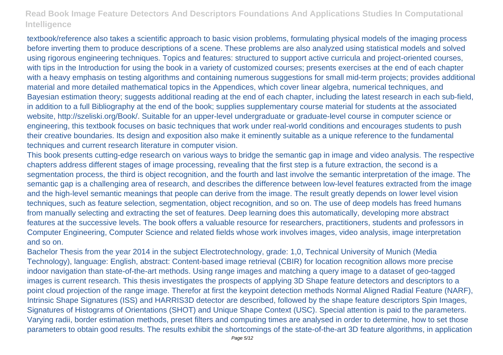textbook/reference also takes a scientific approach to basic vision problems, formulating physical models of the imaging process before inverting them to produce descriptions of a scene. These problems are also analyzed using statistical models and solved using rigorous engineering techniques. Topics and features: structured to support active curricula and project-oriented courses, with tips in the Introduction for using the book in a variety of customized courses; presents exercises at the end of each chapter with a heavy emphasis on testing algorithms and containing numerous suggestions for small mid-term projects; provides additional material and more detailed mathematical topics in the Appendices, which cover linear algebra, numerical techniques, and Bayesian estimation theory; suggests additional reading at the end of each chapter, including the latest research in each sub-field, in addition to a full Bibliography at the end of the book; supplies supplementary course material for students at the associated website, http://szeliski.org/Book/. Suitable for an upper-level undergraduate or graduate-level course in computer science or engineering, this textbook focuses on basic techniques that work under real-world conditions and encourages students to push their creative boundaries. Its design and exposition also make it eminently suitable as a unique reference to the fundamental techniques and current research literature in computer vision.

This book presents cutting-edge research on various ways to bridge the semantic gap in image and video analysis. The respective chapters address different stages of image processing, revealing that the first step is a future extraction, the second is a segmentation process, the third is object recognition, and the fourth and last involve the semantic interpretation of the image. The semantic gap is a challenging area of research, and describes the difference between low-level features extracted from the image and the high-level semantic meanings that people can derive from the image. The result greatly depends on lower level vision techniques, such as feature selection, segmentation, object recognition, and so on. The use of deep models has freed humans from manually selecting and extracting the set of features. Deep learning does this automatically, developing more abstract features at the successive levels. The book offers a valuable resource for researchers, practitioners, students and professors in Computer Engineering, Computer Science and related fields whose work involves images, video analysis, image interpretation and so on.

Bachelor Thesis from the year 2014 in the subject Electrotechnology, grade: 1,0, Technical University of Munich (Media Technology), language: English, abstract: Content-based image retrieval (CBIR) for location recognition allows more precise indoor navigation than state-of-the-art methods. Using range images and matching a query image to a dataset of geo-tagged images is current research. This thesis investigates the prospects of applying 3D Shape feature detectors and descriptors to a point cloud projection of the range image. Therefor at first the keypoint detection methods Normal Aligned Radial Feature (NARF), Intrinsic Shape Signatures (ISS) and HARRIS3D detector are described, followed by the shape feature descriptors Spin Images, Signatures of Histograms of Orientations (SHOT) and Unique Shape Context (USC). Special attention is paid to the parameters. Varying radii, border estimation methods, preset filters and computing times are analysed in order to determine, how to set those parameters to obtain good results. The results exhibit the shortcomings of the state-of-the-art 3D feature algorithms, in application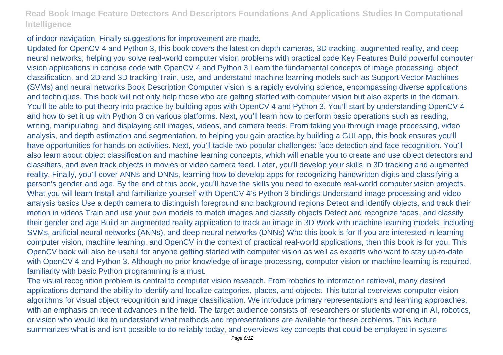of indoor navigation. Finally suggestions for improvement are made.

Updated for OpenCV 4 and Python 3, this book covers the latest on depth cameras, 3D tracking, augmented reality, and deep neural networks, helping you solve real-world computer vision problems with practical code Key Features Build powerful computer vision applications in concise code with OpenCV 4 and Python 3 Learn the fundamental concepts of image processing, object classification, and 2D and 3D tracking Train, use, and understand machine learning models such as Support Vector Machines (SVMs) and neural networks Book Description Computer vision is a rapidly evolving science, encompassing diverse applications and techniques. This book will not only help those who are getting started with computer vision but also experts in the domain. You'll be able to put theory into practice by building apps with OpenCV 4 and Python 3. You'll start by understanding OpenCV 4 and how to set it up with Python 3 on various platforms. Next, you'll learn how to perform basic operations such as reading, writing, manipulating, and displaying still images, videos, and camera feeds. From taking you through image processing, video analysis, and depth estimation and segmentation, to helping you gain practice by building a GUI app, this book ensures you'll have opportunities for hands-on activities. Next, you'll tackle two popular challenges: face detection and face recognition. You'll also learn about object classification and machine learning concepts, which will enable you to create and use object detectors and classifiers, and even track objects in movies or video camera feed. Later, you'll develop your skills in 3D tracking and augmented reality. Finally, you'll cover ANNs and DNNs, learning how to develop apps for recognizing handwritten digits and classifying a person's gender and age. By the end of this book, you'll have the skills you need to execute real-world computer vision projects. What you will learn Install and familiarize yourself with OpenCV 4's Python 3 bindings Understand image processing and video analysis basics Use a depth camera to distinguish foreground and background regions Detect and identify objects, and track their motion in videos Train and use your own models to match images and classify objects Detect and recognize faces, and classify their gender and age Build an augmented reality application to track an image in 3D Work with machine learning models, including SVMs, artificial neural networks (ANNs), and deep neural networks (DNNs) Who this book is for If you are interested in learning computer vision, machine learning, and OpenCV in the context of practical real-world applications, then this book is for you. This OpenCV book will also be useful for anyone getting started with computer vision as well as experts who want to stay up-to-date with OpenCV 4 and Python 3. Although no prior knowledge of image processing, computer vision or machine learning is required, familiarity with basic Python programming is a must.

The visual recognition problem is central to computer vision research. From robotics to information retrieval, many desired applications demand the ability to identify and localize categories, places, and objects. This tutorial overviews computer vision algorithms for visual object recognition and image classification. We introduce primary representations and learning approaches, with an emphasis on recent advances in the field. The target audience consists of researchers or students working in AI, robotics, or vision who would like to understand what methods and representations are available for these problems. This lecture summarizes what is and isn't possible to do reliably today, and overviews key concepts that could be employed in systems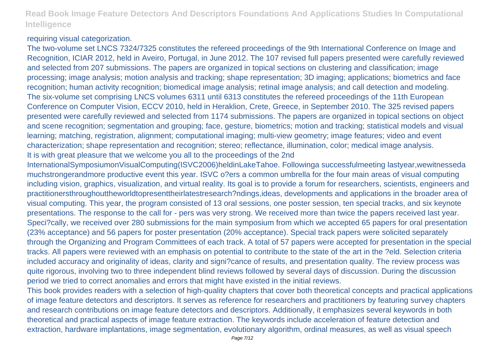### requiring visual categorization.

The two-volume set LNCS 7324/7325 constitutes the refereed proceedings of the 9th International Conference on Image and Recognition, ICIAR 2012, held in Aveiro, Portugal, in June 2012. The 107 revised full papers presented were carefully reviewed and selected from 207 submissions. The papers are organized in topical sections on clustering and classification; image processing; image analysis; motion analysis and tracking; shape representation; 3D imaging; applications; biometrics and face recognition; human activity recognition; biomedical image analysis; retinal image analysis; and call detection and modeling. The six-volume set comprising LNCS volumes 6311 until 6313 constitutes the refereed proceedings of the 11th European Conference on Computer Vision, ECCV 2010, held in Heraklion, Crete, Greece, in September 2010. The 325 revised papers presented were carefully reviewed and selected from 1174 submissions. The papers are organized in topical sections on object and scene recognition; segmentation and grouping; face, gesture, biometrics; motion and tracking; statistical models and visual learning; matching, registration, alignment; computational imaging; multi-view geometry; image features; video and event characterization; shape representation and recognition; stereo; reflectance, illumination, color; medical image analysis. It is with great pleasure that we welcome you all to the proceedings of the 2nd

InternationalSymposiumonVisualComputing(ISVC2006)heldinLakeTahoe. Followinga successfulmeeting lastyear,wewitnesseda muchstrongerandmore productive event this year. ISVC o?ers a common umbrella for the four main areas of visual computing including vision, graphics, visualization, and virtual reality. Its goal is to provide a forum for researchers, scientists, engineers and practitionersthroughouttheworldtopresenttheirlatestresearch?ndings,ideas, developments and applications in the broader area of visual computing. This year, the program consisted of 13 oral sessions, one poster session, ten special tracks, and six keynote presentations. The response to the call for - pers was very strong. We received more than twice the papers received last year. Speci?cally, we received over 280 submissions for the main symposium from which we accepted 65 papers for oral presentation (23% acceptance) and 56 papers for poster presentation (20% acceptance). Special track papers were solicited separately through the Organizing and Program Committees of each track. A total of 57 papers were accepted for presentation in the special tracks. All papers were reviewed with an emphasis on potential to contribute to the state of the art in the ?eld. Selection criteria included accuracy and originality of ideas, clarity and signi?cance of results, and presentation quality. The review process was quite rigorous, involving two to three independent blind reviews followed by several days of discussion. During the discussion period we tried to correct anomalies and errors that might have existed in the initial reviews.

This book provides readers with a selection of high-quality chapters that cover both theoretical concepts and practical applications of image feature detectors and descriptors. It serves as reference for researchers and practitioners by featuring survey chapters and research contributions on image feature detectors and descriptors. Additionally, it emphasizes several keywords in both theoretical and practical aspects of image feature extraction. The keywords include acceleration of feature detection and extraction, hardware implantations, image segmentation, evolutionary algorithm, ordinal measures, as well as visual speech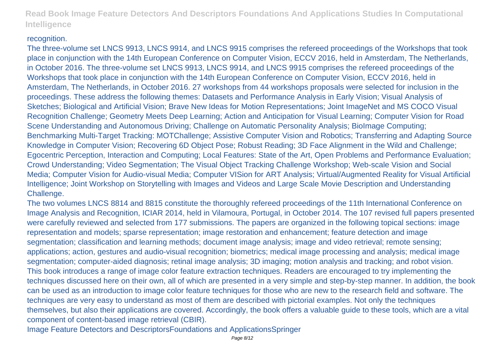#### recognition.

The three-volume set LNCS 9913, LNCS 9914, and LNCS 9915 comprises the refereed proceedings of the Workshops that took place in conjunction with the 14th European Conference on Computer Vision, ECCV 2016, held in Amsterdam, The Netherlands, in October 2016. The three-volume set LNCS 9913, LNCS 9914, and LNCS 9915 comprises the refereed proceedings of the Workshops that took place in conjunction with the 14th European Conference on Computer Vision, ECCV 2016, held in Amsterdam, The Netherlands, in October 2016. 27 workshops from 44 workshops proposals were selected for inclusion in the proceedings. These address the following themes: Datasets and Performance Analysis in Early Vision; Visual Analysis of Sketches; Biological and Artificial Vision; Brave New Ideas for Motion Representations; Joint ImageNet and MS COCO Visual Recognition Challenge; Geometry Meets Deep Learning; Action and Anticipation for Visual Learning; Computer Vision for Road Scene Understanding and Autonomous Driving; Challenge on Automatic Personality Analysis; BioImage Computing; Benchmarking Multi-Target Tracking: MOTChallenge; Assistive Computer Vision and Robotics; Transferring and Adapting Source Knowledge in Computer Vision; Recovering 6D Object Pose; Robust Reading; 3D Face Alignment in the Wild and Challenge; Egocentric Perception, Interaction and Computing; Local Features: State of the Art, Open Problems and Performance Evaluation; Crowd Understanding; Video Segmentation; The Visual Object Tracking Challenge Workshop; Web-scale Vision and Social Media; Computer Vision for Audio-visual Media; Computer VISion for ART Analysis; Virtual/Augmented Reality for Visual Artificial Intelligence; Joint Workshop on Storytelling with Images and Videos and Large Scale Movie Description and Understanding Challenge.

The two volumes LNCS 8814 and 8815 constitute the thoroughly refereed proceedings of the 11th International Conference on Image Analysis and Recognition, ICIAR 2014, held in Vilamoura, Portugal, in October 2014. The 107 revised full papers presented were carefully reviewed and selected from 177 submissions. The papers are organized in the following topical sections: image representation and models; sparse representation; image restoration and enhancement; feature detection and image segmentation; classification and learning methods; document image analysis; image and video retrieval; remote sensing; applications; action, gestures and audio-visual recognition; biometrics; medical image processing and analysis; medical image segmentation; computer-aided diagnosis; retinal image analysis; 3D imaging; motion analysis and tracking; and robot vision. This book introduces a range of image color feature extraction techniques. Readers are encouraged to try implementing the techniques discussed here on their own, all of which are presented in a very simple and step-by-step manner. In addition, the book can be used as an introduction to image color feature techniques for those who are new to the research field and software. The techniques are very easy to understand as most of them are described with pictorial examples. Not only the techniques themselves, but also their applications are covered. Accordingly, the book offers a valuable guide to these tools, which are a vital component of content-based image retrieval (CBIR).

Image Feature Detectors and DescriptorsFoundations and ApplicationsSpringer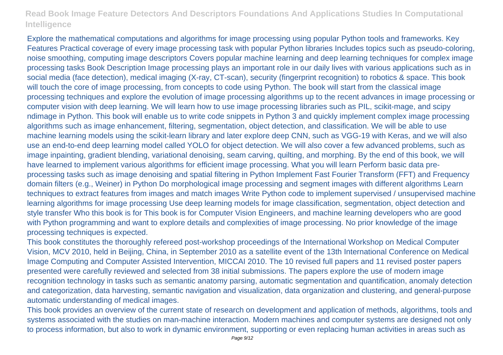Explore the mathematical computations and algorithms for image processing using popular Python tools and frameworks. Key Features Practical coverage of every image processing task with popular Python libraries Includes topics such as pseudo-coloring, noise smoothing, computing image descriptors Covers popular machine learning and deep learning techniques for complex image processing tasks Book Description Image processing plays an important role in our daily lives with various applications such as in social media (face detection), medical imaging (X-ray, CT-scan), security (fingerprint recognition) to robotics & space. This book will touch the core of image processing, from concepts to code using Python. The book will start from the classical image processing techniques and explore the evolution of image processing algorithms up to the recent advances in image processing or computer vision with deep learning. We will learn how to use image processing libraries such as PIL, scikit-mage, and scipy ndimage in Python. This book will enable us to write code snippets in Python 3 and quickly implement complex image processing algorithms such as image enhancement, filtering, segmentation, object detection, and classification. We will be able to use machine learning models using the scikit-learn library and later explore deep CNN, such as VGG-19 with Keras, and we will also use an end-to-end deep learning model called YOLO for object detection. We will also cover a few advanced problems, such as image inpainting, gradient blending, variational denoising, seam carving, quilting, and morphing. By the end of this book, we will have learned to implement various algorithms for efficient image processing. What you will learn Perform basic data preprocessing tasks such as image denoising and spatial filtering in Python Implement Fast Fourier Transform (FFT) and Frequency domain filters (e.g., Weiner) in Python Do morphological image processing and segment images with different algorithms Learn techniques to extract features from images and match images Write Python code to implement supervised / unsupervised machine learning algorithms for image processing Use deep learning models for image classification, segmentation, object detection and style transfer Who this book is for This book is for Computer Vision Engineers, and machine learning developers who are good with Python programming and want to explore details and complexities of image processing. No prior knowledge of the image processing techniques is expected.

This book constitutes the thoroughly refereed post-workshop proceedings of the International Workshop on Medical Computer Vision, MCV 2010, held in Beijing, China, in September 2010 as a satellite event of the 13th International Conference on Medical Image Computing and Computer Assisted Intervention, MICCAI 2010. The 10 revised full papers and 11 revised poster papers presented were carefully reviewed and selected from 38 initial submissions. The papers explore the use of modern image recognition technology in tasks such as semantic anatomy parsing, automatic segmentation and quantification, anomaly detection and categorization, data harvesting, semantic navigation and visualization, data organization and clustering, and general-purpose automatic understanding of medical images.

This book provides an overview of the current state of research on development and application of methods, algorithms, tools and systems associated with the studies on man-machine interaction. Modern machines and computer systems are designed not only to process information, but also to work in dynamic environment, supporting or even replacing human activities in areas such as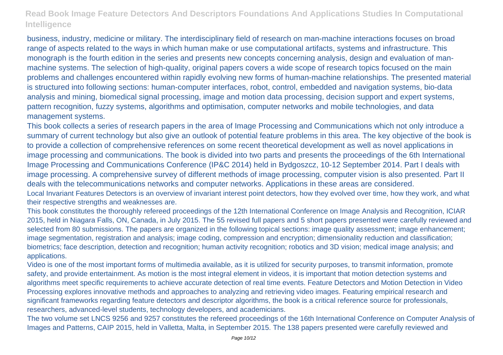business, industry, medicine or military. The interdisciplinary field of research on man-machine interactions focuses on broad range of aspects related to the ways in which human make or use computational artifacts, systems and infrastructure. This monograph is the fourth edition in the series and presents new concepts concerning analysis, design and evaluation of manmachine systems. The selection of high-quality, original papers covers a wide scope of research topics focused on the main problems and challenges encountered within rapidly evolving new forms of human-machine relationships. The presented material is structured into following sections: human-computer interfaces, robot, control, embedded and navigation systems, bio-data analysis and mining, biomedical signal processing, image and motion data processing, decision support and expert systems, pattern recognition, fuzzy systems, algorithms and optimisation, computer networks and mobile technologies, and data management systems.

This book collects a series of research papers in the area of Image Processing and Communications which not only introduce a summary of current technology but also give an outlook of potential feature problems in this area. The key objective of the book is to provide a collection of comprehensive references on some recent theoretical development as well as novel applications in image processing and communications. The book is divided into two parts and presents the proceedings of the 6th International Image Processing and Communications Conference (IP&C 2014) held in Bydgoszcz, 10-12 September 2014. Part I deals with image processing. A comprehensive survey of different methods of image processing, computer vision is also presented. Part II deals with the telecommunications networks and computer networks. Applications in these areas are considered. Local Invariant Features Detectors is an overview of invariant interest point detectors, how they evolved over time, how they work, and what their respective strengths and weaknesses are.

This book constitutes the thoroughly refereed proceedings of the 12th International Conference on Image Analysis and Recognition, ICIAR 2015, held in Niagara Falls, ON, Canada, in July 2015. The 55 revised full papers and 5 short papers presented were carefully reviewed and selected from 80 submissions. The papers are organized in the following topical sections: image quality assessment; image enhancement; image segmentation, registration and analysis; image coding, compression and encryption; dimensionality reduction and classification; biometrics; face description, detection and recognition; human activity recognition; robotics and 3D vision; medical image analysis; and applications.

Video is one of the most important forms of multimedia available, as it is utilized for security purposes, to transmit information, promote safety, and provide entertainment. As motion is the most integral element in videos, it is important that motion detection systems and algorithms meet specific requirements to achieve accurate detection of real time events. Feature Detectors and Motion Detection in Video Processing explores innovative methods and approaches to analyzing and retrieving video images. Featuring empirical research and significant frameworks regarding feature detectors and descriptor algorithms, the book is a critical reference source for professionals, researchers, advanced-level students, technology developers, and academicians.

The two volume set LNCS 9256 and 9257 constitutes the refereed proceedings of the 16th International Conference on Computer Analysis of Images and Patterns, CAIP 2015, held in Valletta, Malta, in September 2015. The 138 papers presented were carefully reviewed and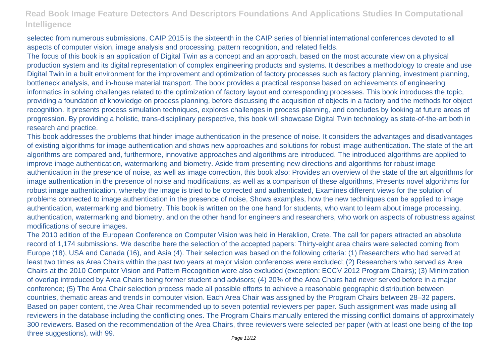selected from numerous submissions. CAIP 2015 is the sixteenth in the CAIP series of biennial international conferences devoted to all aspects of computer vision, image analysis and processing, pattern recognition, and related fields.

The focus of this book is an application of Digital Twin as a concept and an approach, based on the most accurate view on a physical production system and its digital representation of complex engineering products and systems. It describes a methodology to create and use Digital Twin in a built environment for the improvement and optimization of factory processes such as factory planning, investment planning, bottleneck analysis, and in-house material transport. The book provides a practical response based on achievements of engineering informatics in solving challenges related to the optimization of factory layout and corresponding processes. This book introduces the topic, providing a foundation of knowledge on process planning, before discussing the acquisition of objects in a factory and the methods for object recognition. It presents process simulation techniques, explores challenges in process planning, and concludes by looking at future areas of progression. By providing a holistic, trans-disciplinary perspective, this book will showcase Digital Twin technology as state-of-the-art both in research and practice.

This book addresses the problems that hinder image authentication in the presence of noise. It considers the advantages and disadvantages of existing algorithms for image authentication and shows new approaches and solutions for robust image authentication. The state of the art algorithms are compared and, furthermore, innovative approaches and algorithms are introduced. The introduced algorithms are applied to improve image authentication, watermarking and biometry. Aside from presenting new directions and algorithms for robust image authentication in the presence of noise, as well as image correction, this book also: Provides an overview of the state of the art algorithms for image authentication in the presence of noise and modifications, as well as a comparison of these algorithms, Presents novel algorithms for robust image authentication, whereby the image is tried to be corrected and authenticated, Examines different views for the solution of problems connected to image authentication in the presence of noise, Shows examples, how the new techniques can be applied to image authentication, watermarking and biometry. This book is written on the one hand for students, who want to learn about image processing, authentication, watermarking and biometry, and on the other hand for engineers and researchers, who work on aspects of robustness against modifications of secure images.

The 2010 edition of the European Conference on Computer Vision was held in Heraklion, Crete. The call for papers attracted an absolute record of 1,174 submissions. We describe here the selection of the accepted papers: Thirty-eight area chairs were selected coming from Europe (18), USA and Canada (16), and Asia (4). Their selection was based on the following criteria: (1) Researchers who had served at least two times as Area Chairs within the past two years at major vision conferences were excluded; (2) Researchers who served as Area Chairs at the 2010 Computer Vision and Pattern Recognition were also excluded (exception: ECCV 2012 Program Chairs); (3) Minimization of overlap introduced by Area Chairs being former student and advisors; (4) 20% of the Area Chairs had never served before in a major conference; (5) The Area Chair selection process made all possible efforts to achieve a reasonable geographic distribution between countries, thematic areas and trends in computer vision. Each Area Chair was assigned by the Program Chairs between 28–32 papers. Based on paper content, the Area Chair recommended up to seven potential reviewers per paper. Such assignment was made using all reviewers in the database including the conflicting ones. The Program Chairs manually entered the missing conflict domains of approximately 300 reviewers. Based on the recommendation of the Area Chairs, three reviewers were selected per paper (with at least one being of the top three suggestions), with 99.